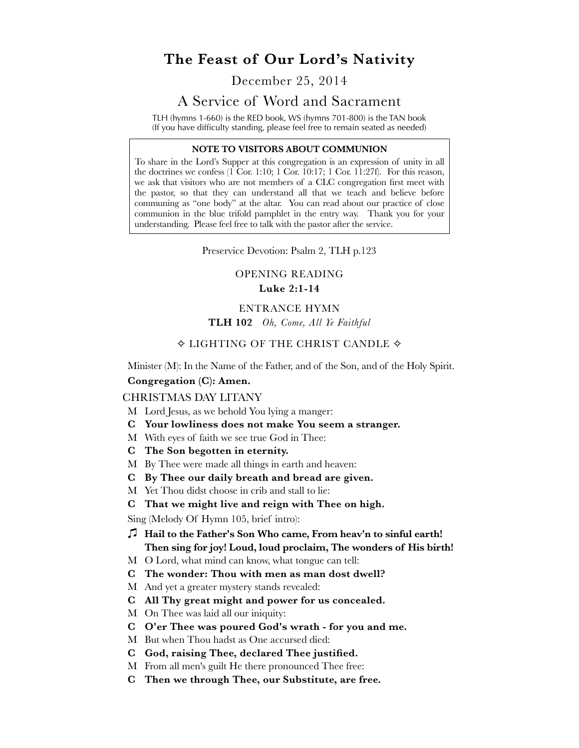# **The Feast of Our Lord's Nativity**

# December 25, 2014

# A Service of Word and Sacrament

TLH (hymns 1-660) is the RED book, WS (hymns 701-800) is the TAN book (If you have difficulty standing, please feel free to remain seated as needed)

#### **NOTE TO VISITORS ABOUT COMMUNION**

To share in the Lord's Supper at this congregation is an expression of unity in all the doctrines we confess  $(1 \text{ Cor. } 1:10; 1 \text{ Cor. } 10:17; 1 \text{ Cor. } 11:27f)$ . For this reason, we ask that visitors who are not members of a CLC congregation first meet with the pastor, so that they can understand all that we teach and believe before communing as "one body" at the altar. You can read about our practice of close communion in the blue trifold pamphlet in the entry way. Thank you for your understanding. Please feel free to talk with the pastor after the service.

Preservice Devotion: Psalm 2, TLH p.123

# OPENING READING **Luke 2:1-14**

#### ENTRANCE HYMN

**TLH 102** *Oh, Come, All Ye Faithful*

# $\diamond$  LIGHTING OF THE CHRIST CANDLE  $\diamond$

Minister (M): In the Name of the Father, and of the Son, and of the Holy Spirit.

#### **Congregation (C): Amen.**

#### CHRISTMAS DAY LITANY

- M Lord Jesus, as we behold You lying a manger:
- **C Your lowliness does not make You seem a stranger.**
- M With eyes of faith we see true God in Thee:
- **C The Son begotten in eternity.**
- M By Thee were made all things in earth and heaven:
- **C By Thee our daily breath and bread are given.**
- M Yet Thou didst choose in crib and stall to lie:
- **C That we might live and reign with Thee on high.**

Sing (Melody Of Hymn 105, brief intro):

- 㽈 **Hail to the Father's Son Who came, From heav'n to sinful earth! Then sing for joy! Loud, loud proclaim, The wonders of His birth!**
- M O Lord, what mind can know, what tongue can tell:
- **C The wonder: Thou with men as man dost dwell?**
- M And yet a greater mystery stands revealed:
- **C All Thy great might and power for us concealed.**
- M On Thee was laid all our iniquity:
- **C O'er Thee was poured God's wrath for you and me.**
- M But when Thou hadst as One accursed died:
- **C God, raising Thee, declared Thee justified.**
- M From all men's guilt He there pronounced Thee free:
- **C Then we through Thee, our Substitute, are free.**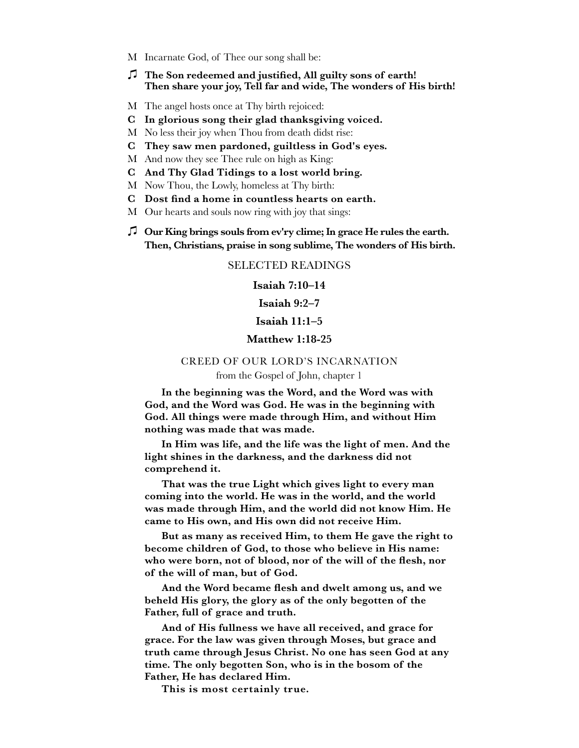- M Incarnate God, of Thee our song shall be:
- 㽈 **The Son redeemed and justified, All guilty sons of earth! Then share your joy, Tell far and wide, The wonders of His birth!**
- M The angel hosts once at Thy birth rejoiced:
- **C In glorious song their glad thanksgiving voiced.**
- M No less their joy when Thou from death didst rise:
- **C They saw men pardoned, guiltless in God's eyes.**
- M And now they see Thee rule on high as King:
- **C And Thy Glad Tidings to a lost world bring.**
- M Now Thou, the Lowly, homeless at Thy birth:
- **C Dost find a home in countless hearts on earth.**
- M Our hearts and souls now ring with joy that sings:
- 㽈 **Our King brings souls from ev'ry clime; In grace He rules the earth. Then, Christians, praise in song sublime, The wonders of His birth.**

## SELECTED READINGS

**Isaiah 7:10–14**

## **Isaiah 9:2–7**

#### **Isaiah 11:1–5**

#### **Matthew 1:18-25**

#### CREED OF OUR LORD'S INCARNATION

## from the Gospel of John, chapter 1

**In the beginning was the Word, and the Word was with God, and the Word was God. He was in the beginning with God. All things were made through Him, and without Him nothing was made that was made.** 

**In Him was life, and the life was the light of men. And the light shines in the darkness, and the darkness did not comprehend it.**

**That was the true Light which gives light to every man coming into the world. He was in the world, and the world was made through Him, and the world did not know Him. He came to His own, and His own did not receive Him.** 

**But as many as received Him, to them He gave the right to become children of God, to those who believe in His name: who were born, not of blood, nor of the will of the flesh, nor of the will of man, but of God.** 

**And the Word became flesh and dwelt among us, and we beheld His glory, the glory as of the only begotten of the Father, full of grace and truth.** 

**And of His fullness we have all received, and grace for grace. For the law was given through Moses, but grace and truth came through Jesus Christ. No one has seen God at any time. The only begotten Son, who is in the bosom of the Father, He has declared Him.**

**This is most certainly true.**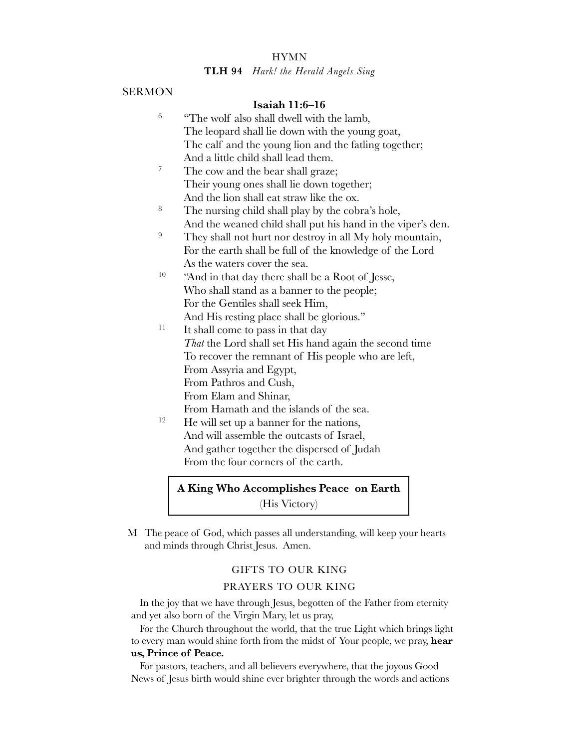## **HYMN**

#### **TLH 94** *Hark! the Herald Angels Sing*

### SERMON

## **Isaiah 11:6–16**

- $6$  "The wolf also shall dwell with the lamb, The leopard shall lie down with the young goat, The calf and the young lion and the fatling together; And a little child shall lead them.
- <sup>7</sup> The cow and the bear shall graze; Their young ones shall lie down together; And the lion shall eat straw like the ox.
- <sup>8</sup> The nursing child shall play by the cobra's hole, And the weaned child shall put his hand in the viper's den.
- <sup>9</sup> They shall not hurt nor destroy in all My holy mountain, For the earth shall be full of the knowledge of the Lord As the waters cover the sea.
- <sup>10</sup> "And in that day there shall be a Root of Jesse, Who shall stand as a banner to the people; For the Gentiles shall seek Him, And His resting place shall be glorious."
- $11$  It shall come to pass in that day *That* the Lord shall set His hand again the second time To recover the remnant of His people who are left, From Assyria and Egypt, From Pathros and Cush, From Elam and Shinar, From Hamath and the islands of the sea.
- $12$  He will set up a banner for the nations, And will assemble the outcasts of Israel, And gather together the dispersed of Judah From the four corners of the earth.

# **A King Who Accomplishes Peace on Earth** (His Victory)

M The peace of God, which passes all understanding, will keep your hearts and minds through Christ Jesus. Amen.

#### GIFTS TO OUR KING

# PRAYERS TO OUR KING

In the joy that we have through Jesus, begotten of the Father from eternity and yet also born of the Virgin Mary, let us pray,

For the Church throughout the world, that the true Light which brings light to every man would shine forth from the midst of Your people, we pray, **hear us, Prince of Peace.**

For pastors, teachers, and all believers everywhere, that the joyous Good News of Jesus birth would shine ever brighter through the words and actions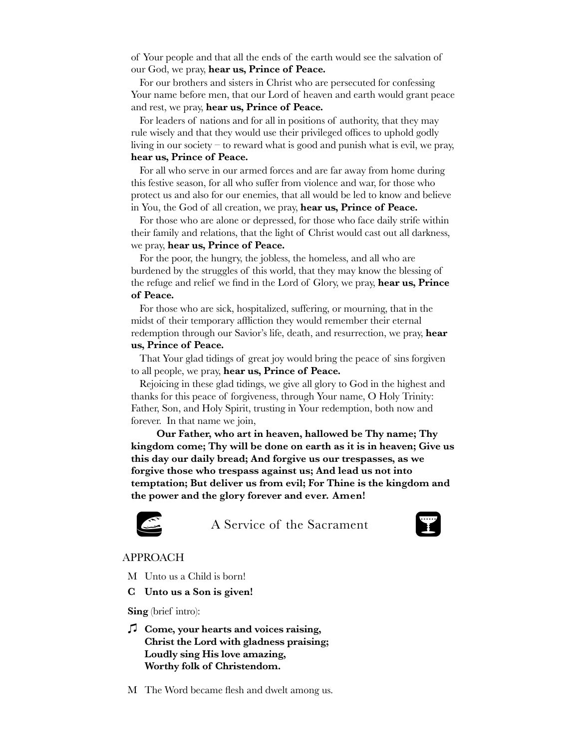of Your people and that all the ends of the earth would see the salvation of our God, we pray, **hear us, Prince of Peace.**

For our brothers and sisters in Christ who are persecuted for confessing Your name before men, that our Lord of heaven and earth would grant peace and rest, we pray, **hear us, Prince of Peace.**

For leaders of nations and for all in positions of authority, that they may rule wisely and that they would use their privileged offices to uphold godly living in our society – to reward what is good and punish what is evil, we pray, **hear us, Prince of Peace.**

For all who serve in our armed forces and are far away from home during this festive season, for all who suffer from violence and war, for those who protect us and also for our enemies, that all would be led to know and believe in You, the God of all creation, we pray, **hear us, Prince of Peace.**

For those who are alone or depressed, for those who face daily strife within their family and relations, that the light of Christ would cast out all darkness, we pray, **hear us, Prince of Peace.**

For the poor, the hungry, the jobless, the homeless, and all who are burdened by the struggles of this world, that they may know the blessing of the refuge and relief we find in the Lord of Glory, we pray, **hear us, Prince of Peace.**

For those who are sick, hospitalized, suffering, or mourning, that in the midst of their temporary affliction they would remember their eternal redemption through our Savior's life, death, and resurrection, we pray, **hear us, Prince of Peace.**

That Your glad tidings of great joy would bring the peace of sins forgiven to all people, we pray, **hear us, Prince of Peace.**

Rejoicing in these glad tidings, we give all glory to God in the highest and thanks for this peace of forgiveness, through Your name, O Holy Trinity: Father, Son, and Holy Spirit, trusting in Your redemption, both now and forever. In that name we join,

**Our Father, who art in heaven, hallowed be Thy name; Thy kingdom come; Thy will be done on earth as it is in heaven; Give us this day our daily bread; And forgive us our trespasses, as we forgive those who trespass against us; And lead us not into temptation; But deliver us from evil; For Thine is the kingdom and the power and the glory forever and ever. Amen!**



A Service of the Sacrament



## APPROACH

M Unto us a Child is born!

**C Unto us a Son is given!**

**Sing** (brief intro):

- 㽈 **Come, your hearts and voices raising, Christ the Lord with gladness praising; Loudly sing His love amazing, Worthy folk of Christendom.**
- M The Word became flesh and dwelt among us.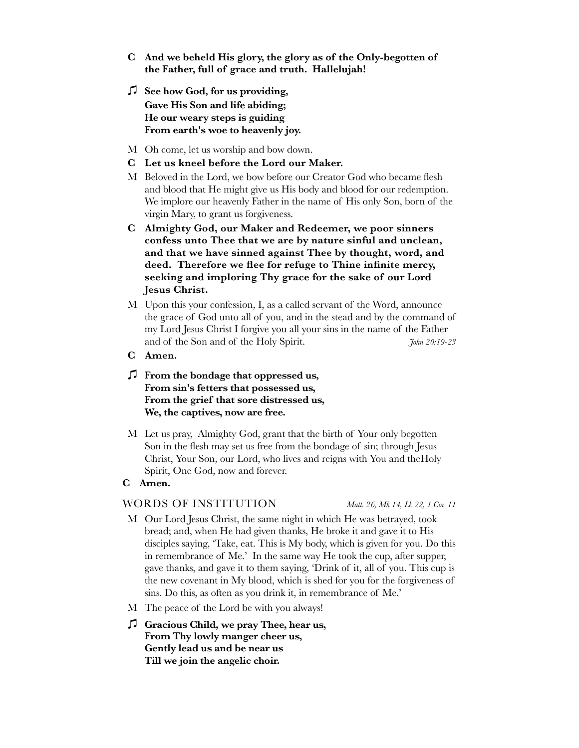- **C And we beheld His glory, the glory as of the Only-begotten of the Father, full of grace and truth. Hallelujah!**
- 㽈 **See how God, for us providing, Gave His Son and life abiding; He our weary steps is guiding From earth's woe to heavenly joy.**
- M Oh come, let us worship and bow down.
- **C Let us kneel before the Lord our Maker.**
- M Beloved in the Lord, we bow before our Creator God who became flesh and blood that He might give us His body and blood for our redemption. We implore our heavenly Father in the name of His only Son, born of the virgin Mary, to grant us forgiveness.
- **C Almighty God, our Maker and Redeemer, we poor sinners confess unto Thee that we are by nature sinful and unclean, and that we have sinned against Thee by thought, word, and deed. Therefore we flee for refuge to Thine infinite mercy, seeking and imploring Thy grace for the sake of our Lord Jesus Christ.**
- M Upon this your confession, I, as a called servant of the Word, announce the grace of God unto all of you, and in the stead and by the command of my Lord Jesus Christ I forgive you all your sins in the name of the Father and of the Son and of the Holy Spirit. *John 20:19-23*
- **C Amen.**
- 㽈 **From the bondage that oppressed us, From sin's fetters that possessed us, From the grief that sore distressed us, We, the captives, now are free.**
- M Let us pray, Almighty God, grant that the birth of Your only begotten Son in the flesh may set us free from the bondage of sin; through Jesus Christ, Your Son, our Lord, who lives and reigns with You and theHoly Spirit, One God, now and forever.
- **C Amen.**

### WORDS OF INSTITUTION *Matt. 26, Mk 14, Lk 22, 1 Cor. 11*

- M Our Lord Jesus Christ, the same night in which He was betrayed, took bread; and, when He had given thanks, He broke it and gave it to His disciples saying, 'Take, eat. This is My body, which is given for you. Do this in remembrance of Me.' In the same way He took the cup, after supper, gave thanks, and gave it to them saying, 'Drink of it, all of you. This cup is the new covenant in My blood, which is shed for you for the forgiveness of sins. Do this, as often as you drink it, in remembrance of Me.'
- M The peace of the Lord be with you always!
- 㽈 **Gracious Child, we pray Thee, hear us, From Thy lowly manger cheer us, Gently lead us and be near us Till we join the angelic choir.**